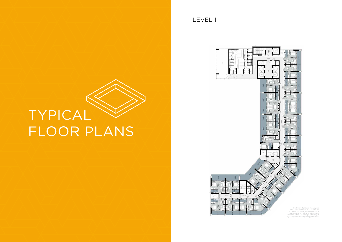## LEVEL 1



Disclaimer: All pictures, plans, layouts, information, data and details included in this brochure are indicative only and may change at any time up to the final 'as built' status in accordance with the final designs of the project, regulatory approvals and planning permissions.

## TYPICAL FLOOR PLANS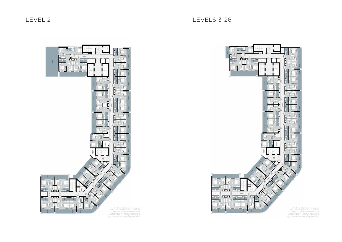Disclaimer: All pictures, plans, layouts, information, data and details included in this brochure are indicative only and may change at any time up to the final 'as built' status in accordance with the final designs of the project, regulatory approvals and planning permissions.



## LEVEL 2 LEVELS 3-26